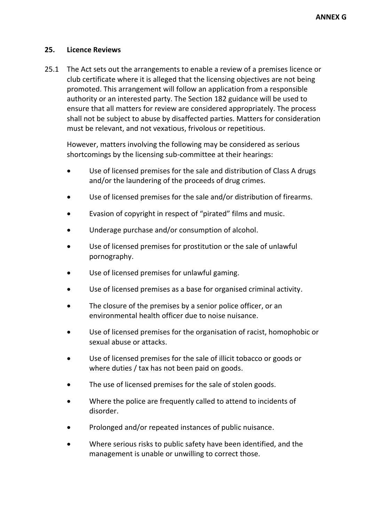## **25. Licence Reviews**

25.1 The Act sets out the arrangements to enable a review of a premises licence or club certificate where it is alleged that the licensing objectives are not being promoted. This arrangement will follow an application from a responsible authority or an interested party. The Section 182 guidance will be used to ensure that all matters for review are considered appropriately. The process shall not be subject to abuse by disaffected parties. Matters for consideration must be relevant, and not vexatious, frivolous or repetitious.

However, matters involving the following may be considered as serious shortcomings by the licensing sub-committee at their hearings:

- Use of licensed premises for the sale and distribution of Class A drugs and/or the laundering of the proceeds of drug crimes.
- Use of licensed premises for the sale and/or distribution of firearms.
- Evasion of copyright in respect of "pirated" films and music.
- Underage purchase and/or consumption of alcohol.
- Use of licensed premises for prostitution or the sale of unlawful pornography.
- Use of licensed premises for unlawful gaming.
- Use of licensed premises as a base for organised criminal activity.
- The closure of the premises by a senior police officer, or an environmental health officer due to noise nuisance.
- Use of licensed premises for the organisation of racist, homophobic or sexual abuse or attacks.
- Use of licensed premises for the sale of illicit tobacco or goods or where duties / tax has not been paid on goods.
- The use of licensed premises for the sale of stolen goods.
- Where the police are frequently called to attend to incidents of disorder.
- Prolonged and/or repeated instances of public nuisance.
- Where serious risks to public safety have been identified, and the management is unable or unwilling to correct those.